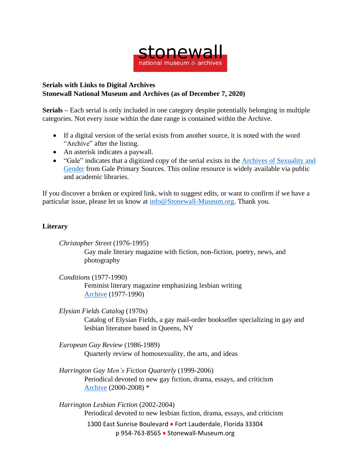

## **Serials with Links to Digital Archives Stonewall National Museum and Archives (as of December 7, 2020)**

**Serials –** Each serial is only included in one category despite potentially belonging in multiple categories. Not every issue within the date range is contained within the Archive.

- If a digital version of the serial exists from another source, it is noted with the word "Archive" after the listing.
- An asterisk indicates a paywall.
- "Gale" indicates that a digitized copy of the serial exists in the Archives of [Sexuality](https://www.gale.com/primary-sources/archives-of-sexuality-and-gender) and [Gender](https://www.gale.com/primary-sources/archives-of-sexuality-and-gender) from Gale Primary Sources. This online resource is widely available via public and academic libraries.

If you discover a broken or expired link, wish to suggest edits, or want to confirm if we have a particular issue, please let us know at [info@Stonewall-Museum.org.](mailto:info@Stonewall-Museum.org) Thank you.

## **Literary**

*Christopher Street* (1976-1995) Gay male literary magazine with fiction, non-fiction, poetry, news, and photography

*Conditions* (1977-1990) Feminist literary magazine emphasizing lesbian writing [Archive](https://voices.revealdigital.org/?a=cl&cl=CL1&sp=DCDCDIG&ai=1&e=-------en-20--1--txt-txIN---------------1) (1977-1990)

*Elysian Fields Catalog* (1970s) Catalog of Elysian Fields, a gay mail-order bookseller specializing in gay and lesbian literature based in Queens, NY

*European Gay Review* (1986-1989) Quarterly review of homosexuality, the arts, and ideas

*Harrington Gay Men's Fiction Quarterly* (1999-2006) Periodical devoted to new gay fiction, drama, essays, and criticism [Archive](https://www.tandfonline.com/loi/wgmf20) (2000-2008) \*

1300 East Sunrise Boulevard • Fort Lauderdale, Florida 33304 p 954-763-8565 • Stonewall-Museum.org *Harrington Lesbian Fiction* (2002-2004) Periodical devoted to new lesbian fiction, drama, essays, and criticism